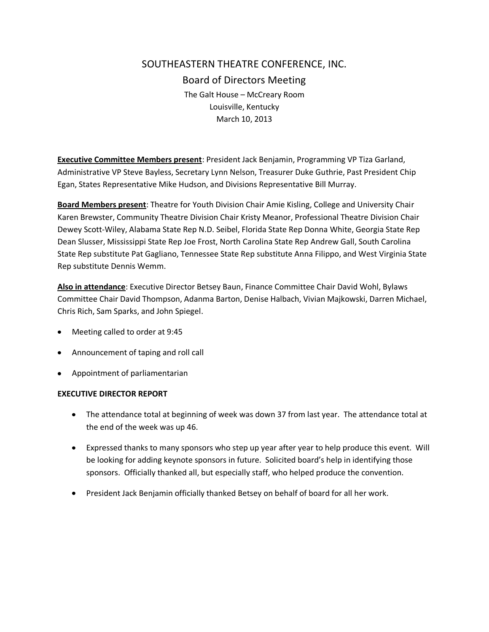# SOUTHEASTERN THEATRE CONFERENCE, INC. Board of Directors Meeting The Galt House – McCreary Room Louisville, Kentucky March 10, 2013

**Executive Committee Members present**: President Jack Benjamin, Programming VP Tiza Garland, Administrative VP Steve Bayless, Secretary Lynn Nelson, Treasurer Duke Guthrie, Past President Chip Egan, States Representative Mike Hudson, and Divisions Representative Bill Murray.

**Board Members present**: Theatre for Youth Division Chair Amie Kisling, College and University Chair Karen Brewster, Community Theatre Division Chair Kristy Meanor, Professional Theatre Division Chair Dewey Scott-Wiley, Alabama State Rep N.D. Seibel, Florida State Rep Donna White, Georgia State Rep Dean Slusser, Mississippi State Rep Joe Frost, North Carolina State Rep Andrew Gall, South Carolina State Rep substitute Pat Gagliano, Tennessee State Rep substitute Anna Filippo, and West Virginia State Rep substitute Dennis Wemm.

**Also in attendance**: Executive Director Betsey Baun, Finance Committee Chair David Wohl, Bylaws Committee Chair David Thompson, Adanma Barton, Denise Halbach, Vivian Majkowski, Darren Michael, Chris Rich, Sam Sparks, and John Spiegel.

- Meeting called to order at 9:45
- Announcement of taping and roll call
- Appointment of parliamentarian

## **EXECUTIVE DIRECTOR REPORT**

- The attendance total at beginning of week was down 37 from last year. The attendance total at the end of the week was up 46.
- Expressed thanks to many sponsors who step up year after year to help produce this event. Will be looking for adding keynote sponsors in future. Solicited board's help in identifying those sponsors. Officially thanked all, but especially staff, who helped produce the convention.
- President Jack Benjamin officially thanked Betsey on behalf of board for all her work.